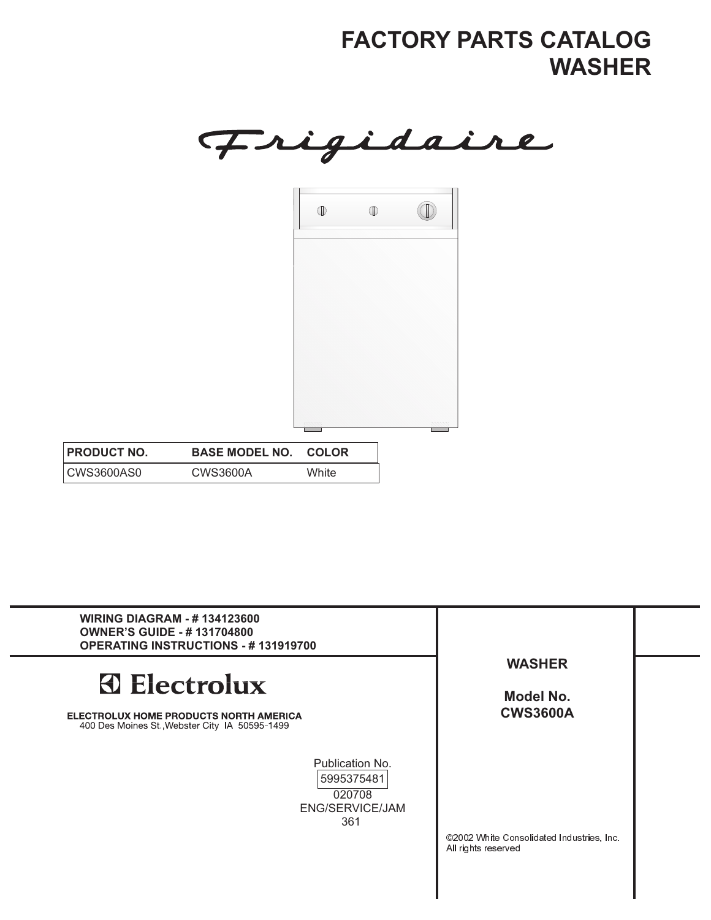Frigidaire

| $\mathbb{O}$ | $\mathbb O$ |      |
|--------------|-------------|------|
|              |             |      |
|              |             |      |
|              |             |      |
|              |             |      |
|              |             |      |
|              |             |      |
|              |             |      |
|              |             |      |
|              |             |      |
|              |             |      |
|              |             |      |
|              |             | mmmm |
|              |             |      |

| <b>PRODUCT NO.</b> | <b>BASE MODEL NO.</b> | <b>COLOR</b> |
|--------------------|-----------------------|--------------|
| CWS3600AS0         | CWS3600A              | White        |

| <b>WIRING DIAGRAM - #134123600</b><br><b>OWNER'S GUIDE - #131704800</b><br><b>OPERATING INSTRUCTIONS - #131919700</b>  |                                                                  |  |
|------------------------------------------------------------------------------------------------------------------------|------------------------------------------------------------------|--|
| <b>3</b> Electrolux<br><b>ELECTROLUX HOME PRODUCTS NORTH AMERICA</b><br>400 Des Moines St., Webster City IA 50595-1499 | <b>WASHER</b><br>Model No.<br><b>CWS3600A</b>                    |  |
| Publication No.<br>5995375481<br>020708<br>ENG/SERVICE/JAM<br>361                                                      | ©2002 White Consolidated Industries, Inc.<br>All rights reserved |  |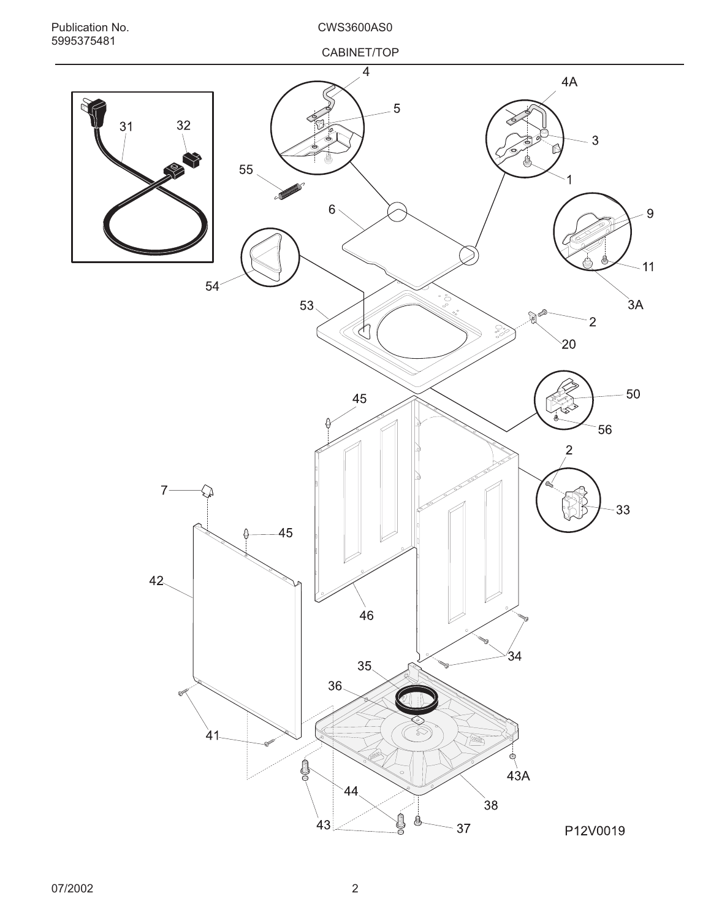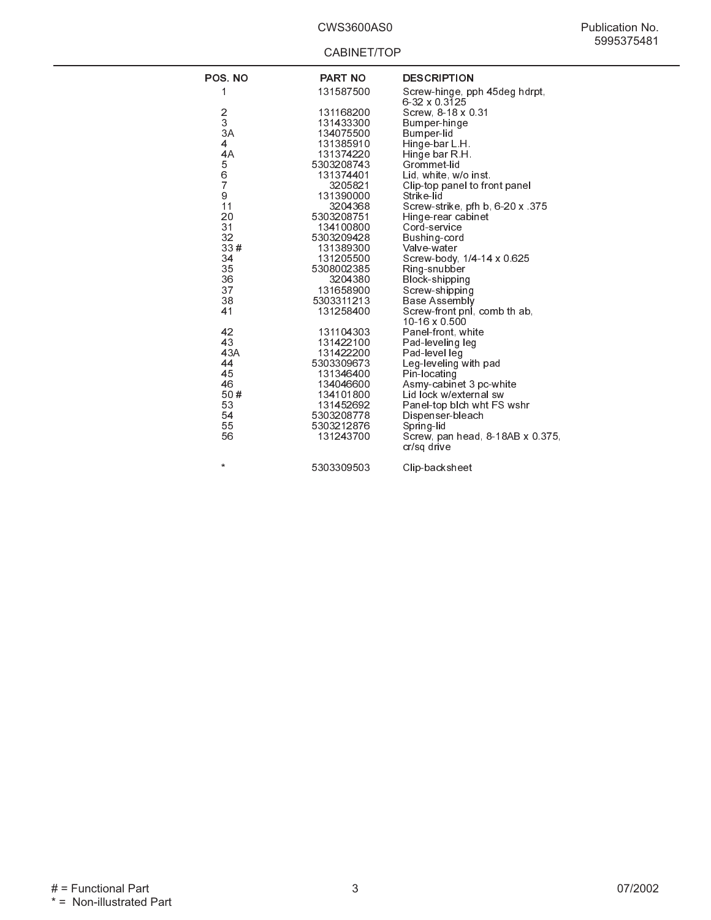| POS. NO       | <b>PART NO</b> | <b>DESCRIPTION</b>                              |
|---------------|----------------|-------------------------------------------------|
|               |                |                                                 |
| 1             | 131587500      | Screw-hinge, pph 45deg hdrpt,<br>6-32 x 0.3125  |
|               | 131168200      | Screw, 8-18 x 0.31                              |
| $\frac{2}{3}$ | 131433300      |                                                 |
| 3A            | 134075500      | Bumper-hinge                                    |
|               |                | Bumper-lid                                      |
| 4             | 131385910      | Hinge-bar L.H.                                  |
| 4A            | 131374220      | Hinge bar R.H.                                  |
| 5             | 5303208743     | Grommet-lid                                     |
| $\bar{6}$     | 131374401      | Lid, white, w/o inst                            |
| 7             | 3205821        | Clip-top panel to front panel                   |
| 9             | 131390000      | Strike-lid                                      |
| 11            | 3204368        | Screw-strike, pfh b, 6-20 x 375                 |
| 20            | 5303208751     | Hinge-rear cabinet                              |
| 31            | 134100800      | Cord-service                                    |
| 32            | 5303209428     | Bushing-cord                                    |
| 33#           | 131389300      | Valve-water                                     |
| 34            | 131205500      | Screw-body, 1/4-14 x 0.625                      |
| 35            | 5308002385     | Ring-snubber                                    |
| 36            | 3204380        | Block-shipping                                  |
| 37            | 131658900      | Screw-shipping                                  |
| 38            | 5303311213     | Base Assembly                                   |
| 41            | 131258400      | Screw-front pnl, comb th ab,                    |
|               |                | 10-16 x 0.500                                   |
| 42            | 131104303      | Panel-front, white                              |
| 43            | 131422100      | Pad-leveling leg                                |
| 43A           | 131422200      | Pad-level leg                                   |
| 44            | 5303309673     | Leg-leveling with pad                           |
| 45            | 131346400      | Pin-locating                                    |
| 46            | 134046600      | Asmy-cabinet 3 pc-white                         |
| 50#           | 134101800      | Lid lock w/external sw                          |
| 53            | 131452692      | Panel-top blch wht FS wshr                      |
| 54            | 5303208778     | Dispenser-bleach                                |
| 55            | 5303212876     | Spring-lid                                      |
| 56            | 131243700      | Screw, pan head, 8-18AB x 0.375,<br>cr/sq drive |
| $\star$       | 5303309503     | Clip-backsheet                                  |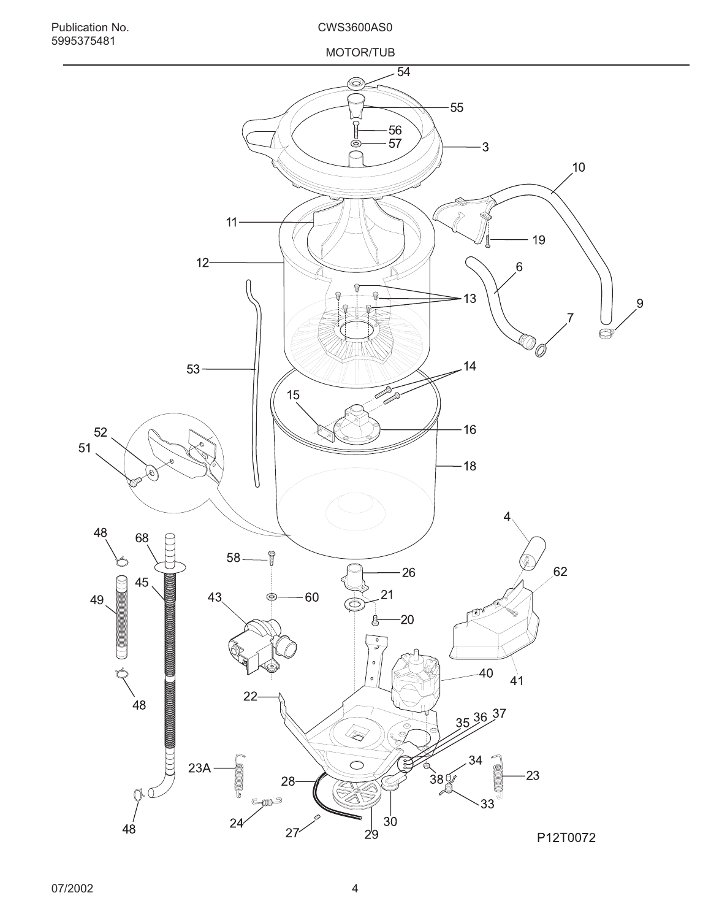![](_page_3_Figure_0.jpeg)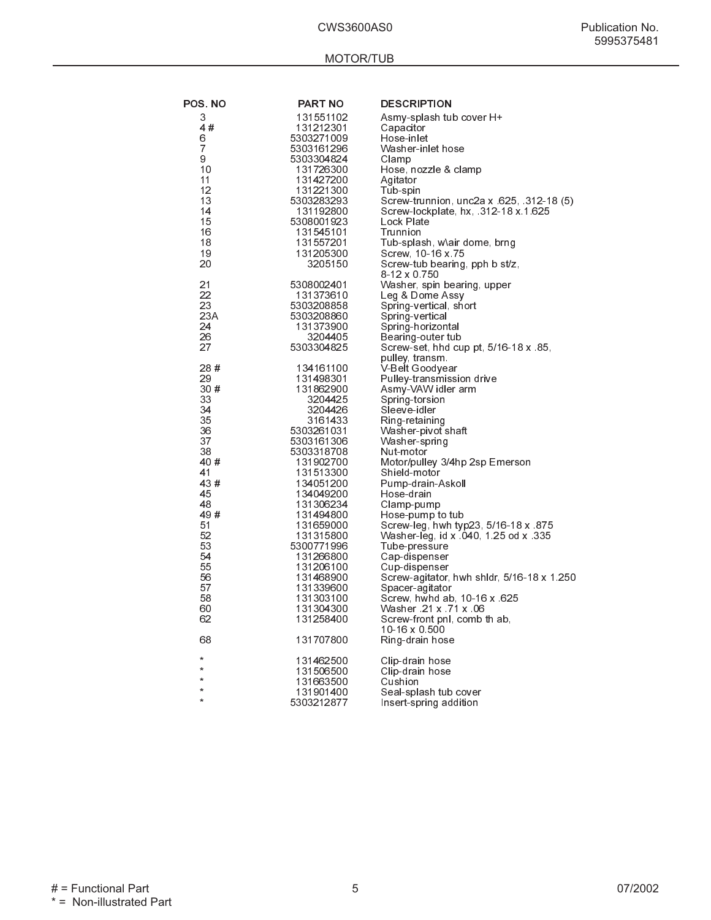## MOTOR/TUB

| <b>POS.NO</b>         | PART NO                  | <b>DESCRIPTION</b>                                                           |
|-----------------------|--------------------------|------------------------------------------------------------------------------|
| 3                     | 131551102                | Asmy-splash tub cover H+                                                     |
| 4#                    | 131212301                | Capacitor                                                                    |
| 6                     | 5303271009               | Hose-inlet                                                                   |
| 7                     | 5303161296               | Washer-inlet hose                                                            |
| 9                     | 5303304824               | Clamp                                                                        |
| 10<br>11              | 131726300<br>131427200   | Hose, nozzle & clamp<br>Agitator                                             |
| 12                    | 131221300                | Tub-spin                                                                     |
| 13                    | 5303283293               | Screw-trunnion, unc2a x 625, 312-18 (5)                                      |
| 14                    | 131192800                | Screw-lockplate, hx, 312-18 x 1 625                                          |
| 15                    | 5308001923               | Lock Plate                                                                   |
| 16                    | 131545101                | Trunnion                                                                     |
| 18                    | 131557201                | Tub-splash, w\air dome, brng                                                 |
| 19<br>20              | 131205300                | Screw, 10-16 x 75                                                            |
|                       | 3205150                  | Screw-tub bearing, pph b st/z,<br>8-12 x 0.750                               |
| 21                    | 5308002401               | Washer, spin bearing, upper                                                  |
| 22                    | 131373610                | Leg & Dome Assy                                                              |
| 23                    | 5303208858               | Spring-vertical, short                                                       |
| 23A                   | 5303208860               | Spring-vertical                                                              |
| 24                    | 131373900                | Spring-horizontal                                                            |
| 26                    | 3204405                  | Bearing outer tub                                                            |
| 27                    | 5303304825               | Screw-set, hhd cup pt, 5/16-18 x 85,<br>pulley, transm.                      |
| 28#                   | 134161100                | V-Belt Goodyear                                                              |
| 29                    | 131498301                | Pulley-transmission drive                                                    |
| 30#                   | 131862900                | Asmy-VAW idler arm                                                           |
| 33                    | 3204425                  | Spring-torsion                                                               |
| 34                    | 3204426                  | Sleeve-idler                                                                 |
| 35                    | 3161433                  | Ring-retaining                                                               |
| 36                    | 5303261031               | Washer-pivot shaft                                                           |
| 37<br>38              | 5303161306<br>5303318708 | Washer-spring<br>Nut-motor                                                   |
| 40#                   | 131902700                | Motor/pulley 3/4hp 2sp Emerson                                               |
| 41                    | 131513300                | Shield-motor                                                                 |
| 43#                   | 134051200                | Pump-drain-Askoll                                                            |
| 45                    | 134049200                | Hose-drain                                                                   |
| 48                    | 131306234                | Clamp-pump                                                                   |
| 49#<br>51             | 131494800                | Hose-pump to tub                                                             |
| 52                    | 131659000<br>131315800   | Screw-leg, hwh typ23, 5/16-18 x 875<br>Washer-leg, id x .040, 1.25 od x .335 |
| 53                    | 5300771996               | Tube-pressure                                                                |
| 54                    | 131266800                | Cap-dispenser                                                                |
| 55                    | 131206100                | Cup-dispenser                                                                |
| 56                    | 131468900                | Screw-agitator, hwh shidr, 5/16-18 x 1.250                                   |
| 57                    | 131339600                | Spacer-agitator                                                              |
| 58<br>60              | 131303100<br>131304300   | Screw, hwhd ab, 10-16 x 625<br>Washer 21 x 71 x 06                           |
| 62                    | 131258400                | Screw-front pnl, comb th ab,                                                 |
|                       |                          | 10-16 x 0 500                                                                |
| 68                    | 131707800                | Ring-drain hose                                                              |
| ÷                     | 131462500                | Clip-drain hose                                                              |
| $\star$               | 131506500                | Clip-drain hose                                                              |
| $^{\star}$            | 131663500                | Cushion                                                                      |
| $^{\star}$<br>$\star$ | 131901400                | Seal-splash tub cover                                                        |
|                       | 5303212877               | Insert-spring addition                                                       |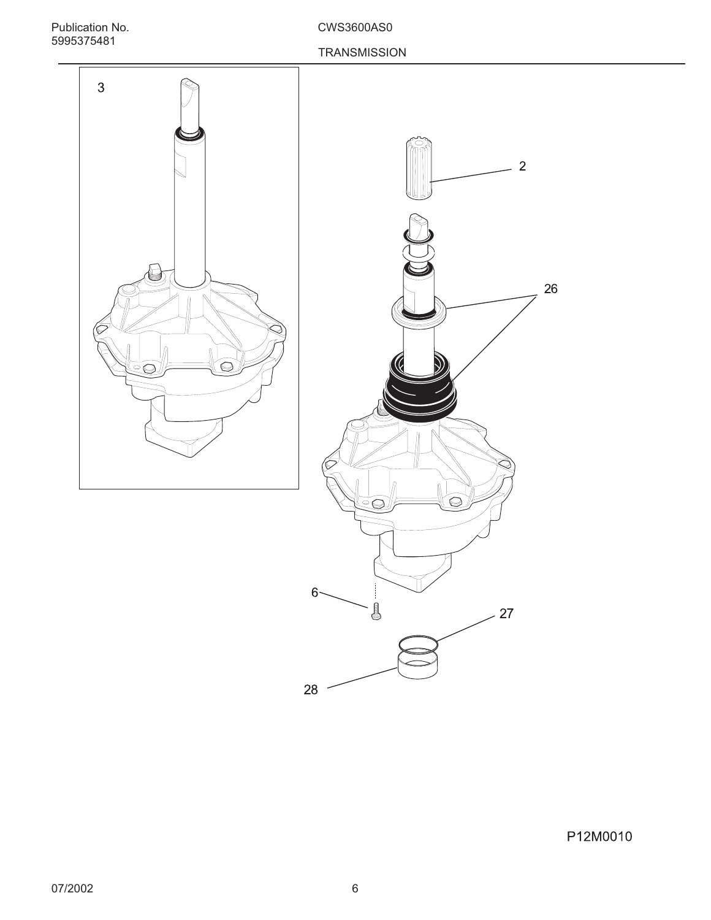Publication No. CWS3600AS0 5995375481

## **TRANSMISSION**

![](_page_5_Figure_3.jpeg)

![](_page_5_Figure_4.jpeg)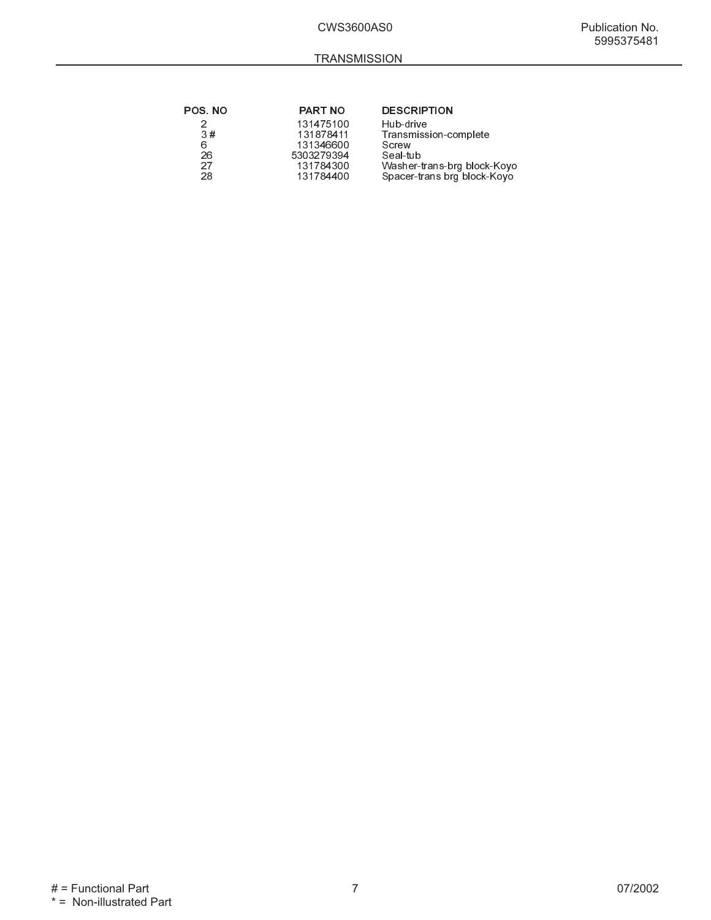| <b>POS.NO</b> | <b>PART NO</b> | <b>DESCRIPTION</b>          |
|---------------|----------------|-----------------------------|
|               | 131475100      | Hub-drive                   |
| 3#            | 131878411      | Transmission-complete       |
| 6             | 131346600      | Screw                       |
| 26            | 5303279394     | Seal-tub                    |
| 27            | 131784300      | Washer-trans-brg block-Koyo |
| 28            | 131784400      | Spacer-trans brg block-Koyo |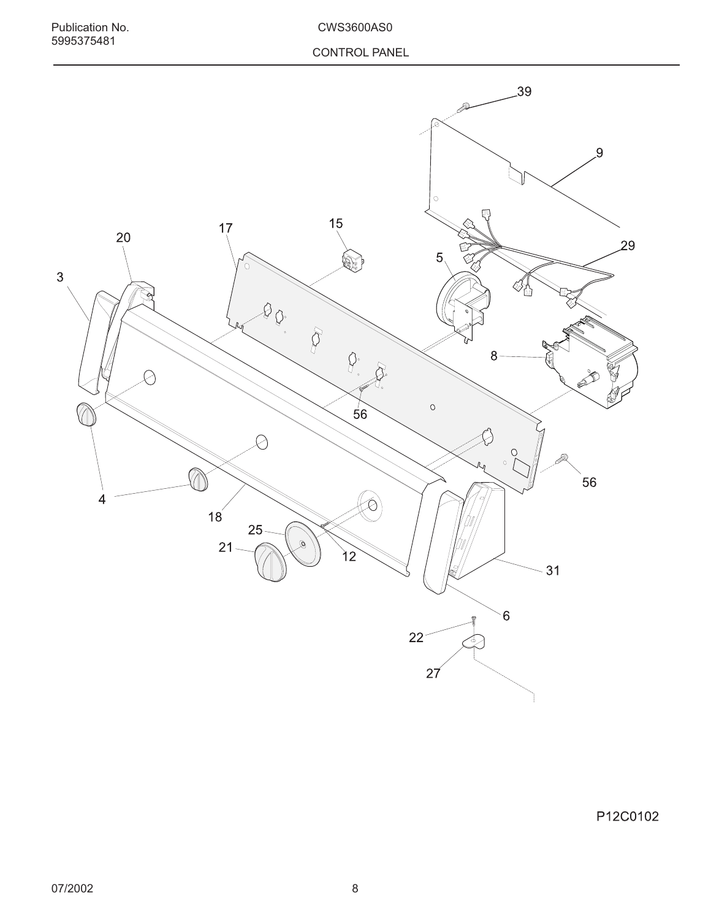![](_page_7_Figure_3.jpeg)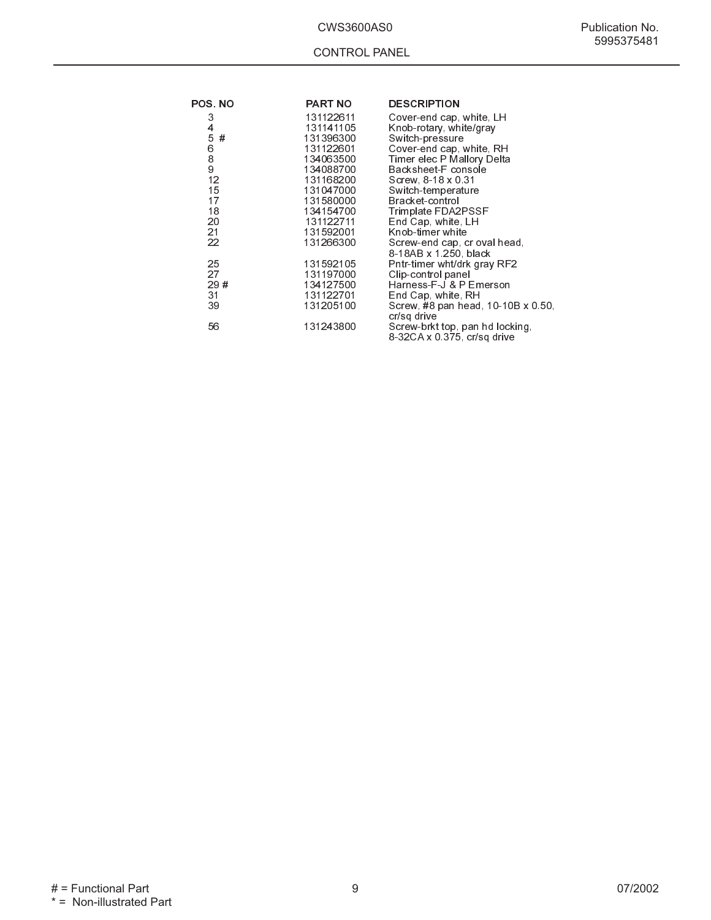| <b>POS. NO</b>                                                       | <b>PART NO</b>                                                                                                                              | <b>DESCRIPTION</b>                                                                                                                                                                                                                                                 |
|----------------------------------------------------------------------|---------------------------------------------------------------------------------------------------------------------------------------------|--------------------------------------------------------------------------------------------------------------------------------------------------------------------------------------------------------------------------------------------------------------------|
| 3<br>4<br>5<br>#<br>6<br>$\frac{8}{9}$<br>12<br>15<br>17<br>18<br>20 | 131122611<br>131141105<br>131396300<br>131122601<br>134063500<br>134088700<br>131168200<br>131047000<br>131580000<br>134154700<br>131122711 | Cover-end cap, white, LH<br>Knob-rotary, white/gray<br>Switch pressure<br>Cover-end cap, white, RH<br>Timer elec P Mallory Delta<br>Backsheet-F console<br>Screw, 8-18 x 0.31<br>Switch-temperature<br>Bracket-control<br>Trimplate FDA2PSSF<br>End Cap, white, LH |
| 21<br>22                                                             | 131592001<br>131266300                                                                                                                      | Knob-timer white<br>Screw-end cap, cr oval head,<br>8-18AB x 1.250, black                                                                                                                                                                                          |
| 25<br>27<br>29#<br>31<br>39                                          | 131592105<br>131197000<br>134127500<br>131122701<br>131205100                                                                               | Pntr-timer wht/drk gray RF2<br>Clip-control panel<br>Harness-F-J & P Emerson<br>End Cap, white, RH<br>Screw, #8 pan head, 10-10B x 0.50,<br>cr/sq drive                                                                                                            |
| 56                                                                   | 131243800                                                                                                                                   | Screw-brkt top, pan hd locking,<br>8-32CA x 0.375, cr/sq drive                                                                                                                                                                                                     |